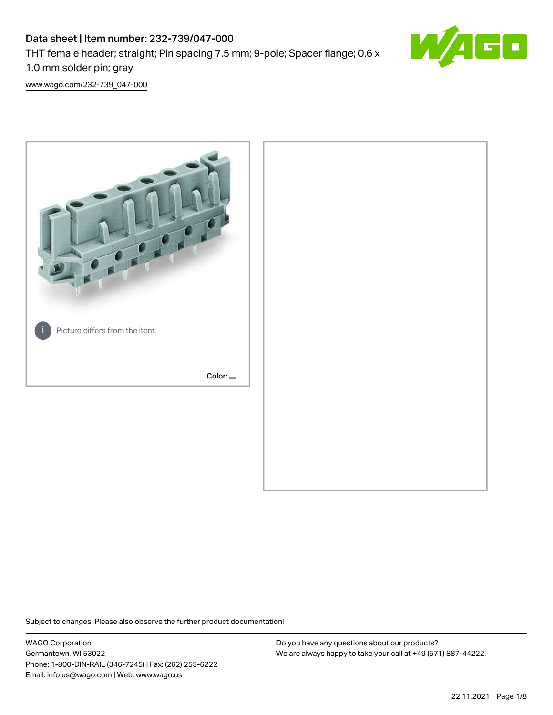# Data sheet | Item number: 232-739/047-000 THT female header; straight; Pin spacing 7.5 mm; 9-pole; Spacer flange; 0.6 x 1.0 mm solder pin; gray



[www.wago.com/232-739\\_047-000](http://www.wago.com/232-739_047-000)



Subject to changes. Please also observe the further product documentation!

WAGO Corporation Germantown, WI 53022 Phone: 1-800-DIN-RAIL (346-7245) | Fax: (262) 255-6222 Email: info.us@wago.com | Web: www.wago.us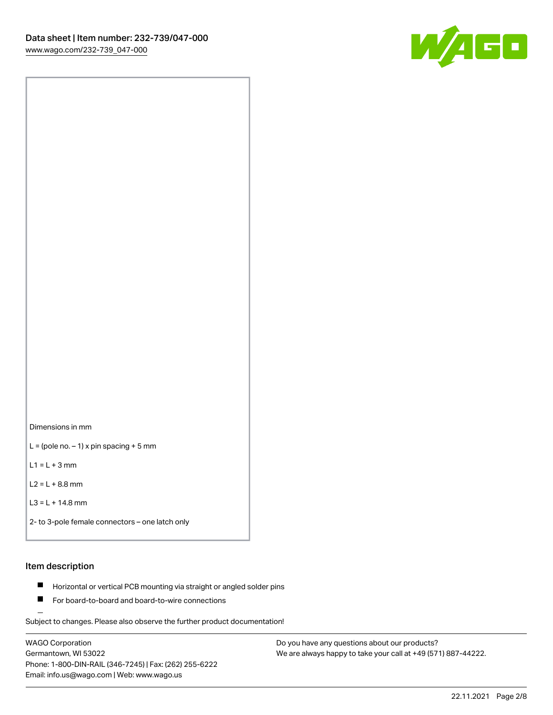

Dimensions in mm

 $L =$  (pole no.  $-1$ ) x pin spacing + 5 mm

 $L1 = L + 3$  mm

 $L2 = L + 8.8$  mm

```
L3 = L + 14.8 mm
```
2- to 3-pole female connectors – one latch only

#### Item description

- **Horizontal or vertical PCB mounting via straight or angled solder pins**
- For board-to-board and board-to-wire connections

Subject to changes. Please also observe the further product documentation!

WAGO Corporation Germantown, WI 53022 Phone: 1-800-DIN-RAIL (346-7245) | Fax: (262) 255-6222 Email: info.us@wago.com | Web: www.wago.us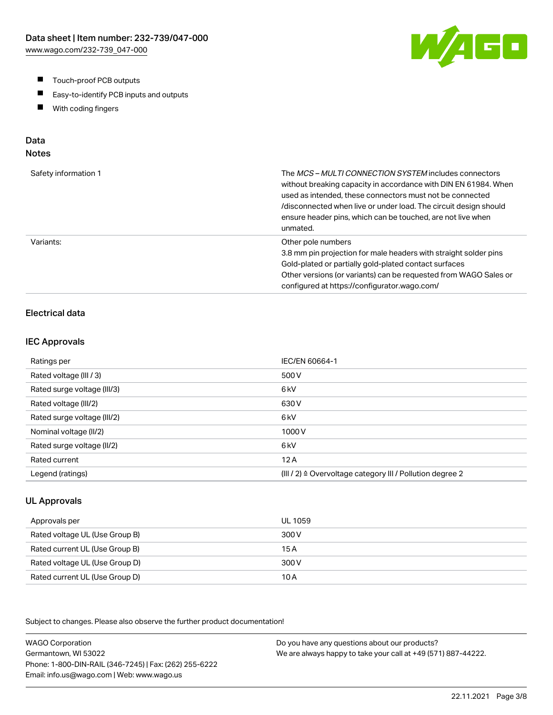- $\blacksquare$ Touch-proof PCB outputs
- $\blacksquare$ Easy-to-identify PCB inputs and outputs
- With coding fingers  $\blacksquare$

# Data

## Notes

| Safety information 1 | The MCS-MULTI CONNECTION SYSTEM includes connectors<br>without breaking capacity in accordance with DIN EN 61984. When<br>used as intended, these connectors must not be connected<br>/disconnected when live or under load. The circuit design should<br>ensure header pins, which can be touched, are not live when<br>unmated. |
|----------------------|-----------------------------------------------------------------------------------------------------------------------------------------------------------------------------------------------------------------------------------------------------------------------------------------------------------------------------------|
| Variants:            | Other pole numbers<br>3.8 mm pin projection for male headers with straight solder pins<br>Gold-plated or partially gold-plated contact surfaces<br>Other versions (or variants) can be requested from WAGO Sales or<br>configured at https://configurator.wago.com/                                                               |

## Electrical data

#### IEC Approvals

| Ratings per                 | IEC/EN 60664-1                                                       |
|-----------------------------|----------------------------------------------------------------------|
| Rated voltage (III / 3)     | 500 V                                                                |
| Rated surge voltage (III/3) | 6 <sub>kV</sub>                                                      |
| Rated voltage (III/2)       | 630 V                                                                |
| Rated surge voltage (III/2) | 6 <sub>k</sub> V                                                     |
| Nominal voltage (II/2)      | 1000V                                                                |
| Rated surge voltage (II/2)  | 6 <sub>k</sub> V                                                     |
| Rated current               | 12A                                                                  |
| Legend (ratings)            | (III / 2) $\triangleq$ Overvoltage category III / Pollution degree 2 |

#### UL Approvals

| Approvals per                  | UL 1059 |
|--------------------------------|---------|
| Rated voltage UL (Use Group B) | 300 V   |
| Rated current UL (Use Group B) | 15 A    |
| Rated voltage UL (Use Group D) | 300 V   |
| Rated current UL (Use Group D) | 10 A    |

Subject to changes. Please also observe the further product documentation!

WAGO Corporation Germantown, WI 53022 Phone: 1-800-DIN-RAIL (346-7245) | Fax: (262) 255-6222 Email: info.us@wago.com | Web: www.wago.us Do you have any questions about our products? We are always happy to take your call at +49 (571) 887-44222.

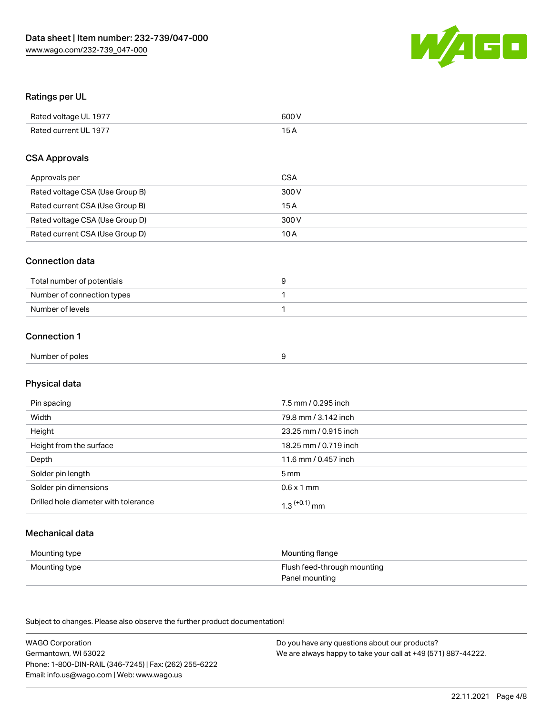

#### Ratings per UL

| Rated voltage UL 1977 | 600 V |
|-----------------------|-------|
| Rated current UL 1977 |       |

#### CSA Approvals

| Approvals per                   | CSA   |
|---------------------------------|-------|
| Rated voltage CSA (Use Group B) | 300 V |
| Rated current CSA (Use Group B) | 15 A  |
| Rated voltage CSA (Use Group D) | 300 V |
| Rated current CSA (Use Group D) | 10 A  |

#### Connection data

| Total number of potentials |  |
|----------------------------|--|
| Number of connection types |  |
| Number of levels           |  |

#### Connection 1

| Number of poles |  |
|-----------------|--|
|                 |  |

# Physical data

| Pin spacing                          | 7.5 mm / 0.295 inch   |
|--------------------------------------|-----------------------|
| Width                                | 79.8 mm / 3.142 inch  |
| Height                               | 23.25 mm / 0.915 inch |
| Height from the surface              | 18.25 mm / 0.719 inch |
| Depth                                | 11.6 mm / 0.457 inch  |
| Solder pin length                    | 5 mm                  |
| Solder pin dimensions                | $0.6 \times 1$ mm     |
| Drilled hole diameter with tolerance | $1.3$ $(+0.1)$ mm     |

## Mechanical data

| Mounting type | Mounting flange             |
|---------------|-----------------------------|
| Mounting type | Flush feed-through mounting |
|               | Panel mounting              |

Subject to changes. Please also observe the further product documentation!

| <b>WAGO Corporation</b>                                | Do you have any questions about our products?                 |
|--------------------------------------------------------|---------------------------------------------------------------|
| Germantown, WI 53022                                   | We are always happy to take your call at +49 (571) 887-44222. |
| Phone: 1-800-DIN-RAIL (346-7245)   Fax: (262) 255-6222 |                                                               |
| Email: info.us@wago.com   Web: www.wago.us             |                                                               |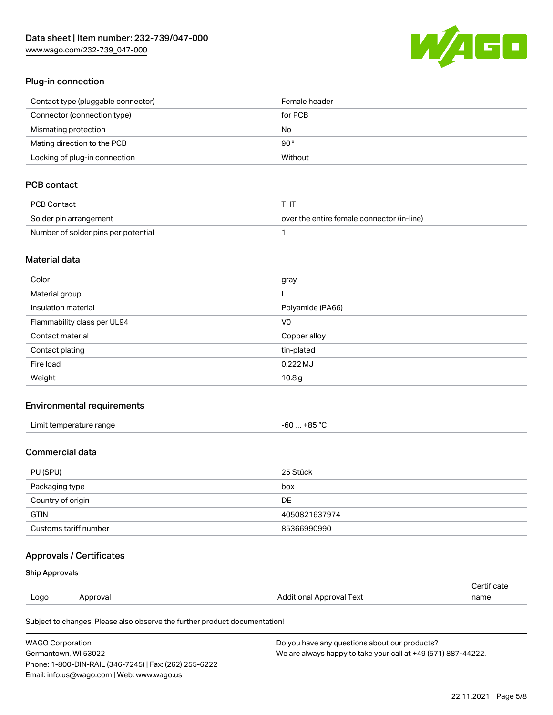[www.wago.com/232-739\\_047-000](http://www.wago.com/232-739_047-000)



#### Plug-in connection

| Contact type (pluggable connector) | Female header |
|------------------------------------|---------------|
| Connector (connection type)        | for PCB       |
| Mismating protection               | No            |
| Mating direction to the PCB        | 90 °          |
| Locking of plug-in connection      | Without       |

## PCB contact

| PCB Contact                         | THT                                        |
|-------------------------------------|--------------------------------------------|
| Solder pin arrangement              | over the entire female connector (in-line) |
| Number of solder pins per potential |                                            |

#### Material data

| Color                       | gray             |
|-----------------------------|------------------|
| Material group              |                  |
| Insulation material         | Polyamide (PA66) |
| Flammability class per UL94 | V <sub>0</sub>   |
| Contact material            | Copper alloy     |
| Contact plating             | tin-plated       |
| Fire load                   | $0.222$ MJ       |
| Weight                      | 10.8g            |

#### Environmental requirements

| Limit temperature range | -60  +85 °C |
|-------------------------|-------------|
|-------------------------|-------------|

### Commercial data

| PU (SPU)              | 25 Stück      |
|-----------------------|---------------|
| Packaging type        | box           |
| Country of origin     | <b>DE</b>     |
| <b>GTIN</b>           | 4050821637974 |
| Customs tariff number | 85366990990   |

## Approvals / Certificates

#### Ship Approvals

| Logo | Approval | Additional Approval Text | name        |
|------|----------|--------------------------|-------------|
|      |          |                          | Certificate |

Subject to changes. Please also observe the further product documentation!

| <b>WAGO Corporation</b>                                | Do you have any questions about our products?                 |
|--------------------------------------------------------|---------------------------------------------------------------|
| Germantown, WI 53022                                   | We are always happy to take your call at +49 (571) 887-44222. |
| Phone: 1-800-DIN-RAIL (346-7245)   Fax: (262) 255-6222 |                                                               |
| Email: info.us@wago.com   Web: www.wago.us             |                                                               |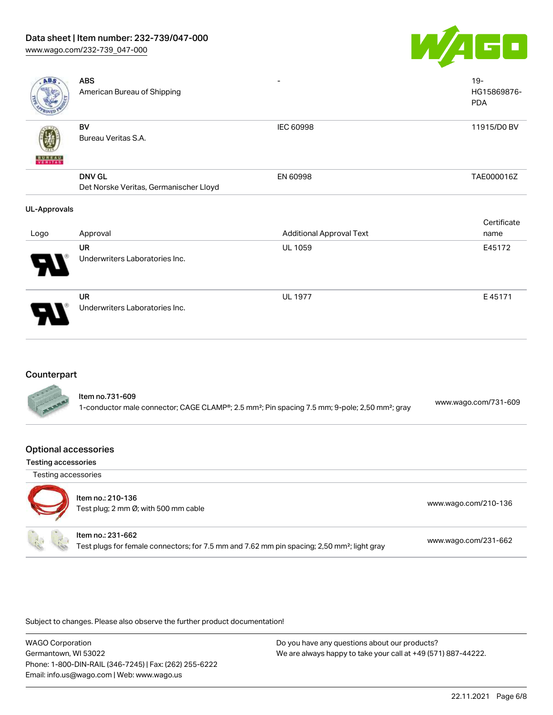## Data sheet | Item number: 232-739/047-000

[www.wago.com/232-739\\_047-000](http://www.wago.com/232-739_047-000)



| <b>ABS</b>          | <b>ABS</b><br>American Bureau of Shipping               |                                 | $19 -$<br>HG15869876-<br><b>PDA</b> |
|---------------------|---------------------------------------------------------|---------------------------------|-------------------------------------|
| <b>BUNEAU</b>       | BV<br>Bureau Veritas S.A.                               | IEC 60998                       | 11915/D0 BV                         |
|                     | <b>DNV GL</b><br>Det Norske Veritas, Germanischer Lloyd | EN 60998                        | TAE000016Z                          |
| <b>UL-Approvals</b> |                                                         |                                 |                                     |
|                     |                                                         |                                 | Certificate                         |
| Logo                | Approval                                                | <b>Additional Approval Text</b> | name                                |
|                     | <b>UR</b><br>Underwriters Laboratories Inc.             | UL 1059                         | E45172                              |
|                     | UR<br>Underwriters Laboratories Inc.                    | <b>UL 1977</b>                  | E45171                              |

#### **Counterpart**

| ltem no.731-609<br>www.wago.com/731-609<br>1-conductor male connector; CAGE CLAMP®; 2.5 mm <sup>2</sup> ; Pin spacing 7.5 mm; 9-pole; 2,50 mm <sup>2</sup> ; gray |  |
|-------------------------------------------------------------------------------------------------------------------------------------------------------------------|--|
|-------------------------------------------------------------------------------------------------------------------------------------------------------------------|--|

#### Optional accessories

Testing accessories



## Item no.: 210-136

| 10011110 2107100                     |                      |
|--------------------------------------|----------------------|
| Test plug; 2 mm Ø; with 500 mm cable | www.wago.com/210-136 |
|                                      |                      |

#### Item no.: 231-662

Test plugs for female connectors; for 7.5 mm and 7.62 mm pin spacing; 2,50 mm²; light gray [www.wago.com/231-662](http://www.wago.com/231-662)

Subject to changes. Please also observe the further product documentation!

WAGO Corporation Germantown, WI 53022 Phone: 1-800-DIN-RAIL (346-7245) | Fax: (262) 255-6222 Email: info.us@wago.com | Web: www.wago.us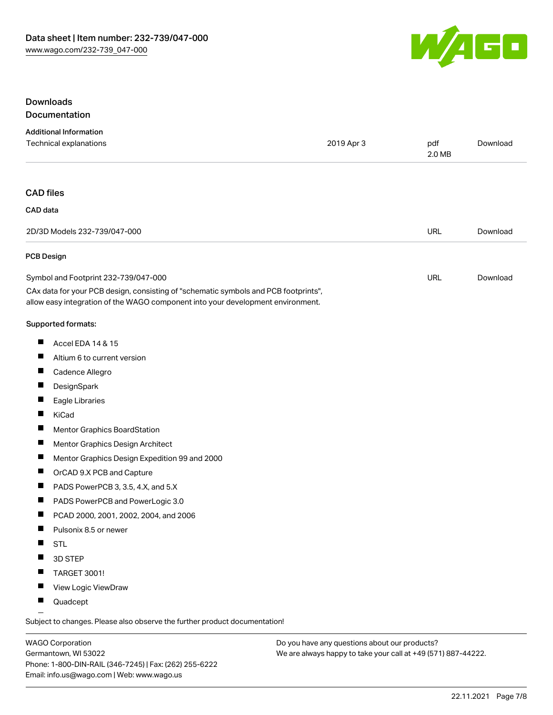

## Downloads Documentation

| <b>Additional Information</b>                                                                                                                                          |            |               |          |
|------------------------------------------------------------------------------------------------------------------------------------------------------------------------|------------|---------------|----------|
| Technical explanations                                                                                                                                                 | 2019 Apr 3 | pdf<br>2.0 MB | Download |
| <b>CAD</b> files                                                                                                                                                       |            |               |          |
| CAD data                                                                                                                                                               |            |               |          |
| 2D/3D Models 232-739/047-000                                                                                                                                           |            | <b>URL</b>    | Download |
| <b>PCB Design</b>                                                                                                                                                      |            |               |          |
| Symbol and Footprint 232-739/047-000                                                                                                                                   |            | <b>URL</b>    | Download |
| CAx data for your PCB design, consisting of "schematic symbols and PCB footprints",<br>allow easy integration of the WAGO component into your development environment. |            |               |          |
| Supported formats:                                                                                                                                                     |            |               |          |
| ш<br>Accel EDA 14 & 15                                                                                                                                                 |            |               |          |
| $\blacksquare$<br>Altium 6 to current version                                                                                                                          |            |               |          |
| ш<br>Cadence Allegro                                                                                                                                                   |            |               |          |
| ш<br>DesignSpark                                                                                                                                                       |            |               |          |
| L<br>Eagle Libraries                                                                                                                                                   |            |               |          |
| H<br>KiCad                                                                                                                                                             |            |               |          |
| $\overline{\phantom{a}}$<br>Mentor Graphics BoardStation                                                                                                               |            |               |          |
| ш<br>Mentor Graphics Design Architect                                                                                                                                  |            |               |          |
| ш<br>Mentor Graphics Design Expedition 99 and 2000                                                                                                                     |            |               |          |
| ш<br>OrCAD 9.X PCB and Capture                                                                                                                                         |            |               |          |
| ш<br>PADS PowerPCB 3, 3.5, 4.X, and 5.X                                                                                                                                |            |               |          |
| $\blacksquare$<br>PADS PowerPCB and PowerLogic 3.0                                                                                                                     |            |               |          |
| $\blacksquare$<br>PCAD 2000, 2001, 2002, 2004, and 2006                                                                                                                |            |               |          |
| ш<br>Pulsonix 8.5 or newer                                                                                                                                             |            |               |          |
| <b>STL</b>                                                                                                                                                             |            |               |          |
| 3D STEP                                                                                                                                                                |            |               |          |
| TARGET 3001!                                                                                                                                                           |            |               |          |
| View Logic ViewDraw<br>П                                                                                                                                               |            |               |          |
| H<br>Quadcept                                                                                                                                                          |            |               |          |

.<br>Subject to changes. Please also observe the further product documentation!

WAGO Corporation Germantown, WI 53022 Phone: 1-800-DIN-RAIL (346-7245) | Fax: (262) 255-6222 Email: info.us@wago.com | Web: www.wago.us